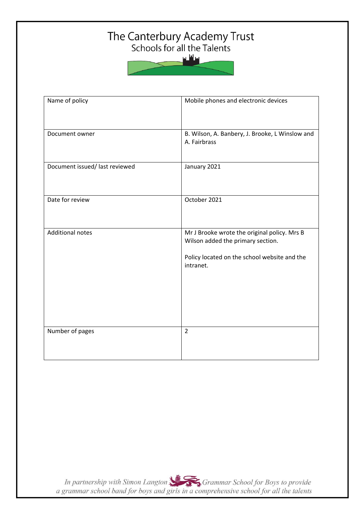# The Canterbury Academy Trust<br>Schools for all the Talents



| Name of policy                | Mobile phones and electronic devices                                                                                                           |
|-------------------------------|------------------------------------------------------------------------------------------------------------------------------------------------|
| Document owner                | B. Wilson, A. Banbery, J. Brooke, L Winslow and<br>A. Fairbrass                                                                                |
| Document issued/last reviewed | January 2021                                                                                                                                   |
| Date for review               | October 2021                                                                                                                                   |
| <b>Additional notes</b>       | Mr J Brooke wrote the original policy. Mrs B<br>Wilson added the primary section.<br>Policy located on the school website and the<br>intranet. |
| Number of pages               | $\overline{2}$                                                                                                                                 |

In partnership with Simon Langton Sexting Grammar School for Boys to provide<br>a grammar school band for boys and girls in a comprehensive school for all the talents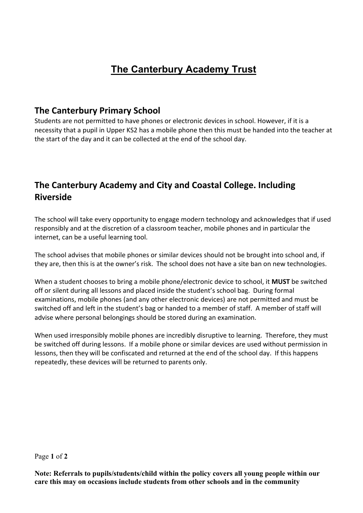## **The Canterbury Academy Trust**

### **The Canterbury Primary School**

Students are not permitted to have phones or electronic devices in school. However, if it is a necessity that a pupil in Upper KS2 has a mobile phone then this must be handed into the teacher at the start of the day and it can be collected at the end of the school day.

## **The Canterbury Academy and City and Coastal College. Including Riverside**

The school will take every opportunity to engage modern technology and acknowledges that if used responsibly and at the discretion of a classroom teacher, mobile phones and in particular the internet, can be a useful learning tool.

The school advises that mobile phones or similar devices should not be brought into school and, if they are, then this is at the owner's risk. The school does not have a site ban on new technologies.

When a student chooses to bring a mobile phone/electronic device to school, it **MUST** be switched off or silent during all lessons and placed inside the student's school bag. During formal examinations, mobile phones (and any other electronic devices) are not permitted and must be switched off and left in the student's bag or handed to a member of staff. A member of staff will advise where personal belongings should be stored during an examination.

When used irresponsibly mobile phones are incredibly disruptive to learning. Therefore, they must be switched off during lessons. If a mobile phone or similar devices are used without permission in lessons, then they will be confiscated and returned at the end of the school day. If this happens repeatedly, these devices will be returned to parents only.

#### Page **1** of **2**

**Note: Referrals to pupils/students/child within the policy covers all young people within our care this may on occasions include students from other schools and in the community**